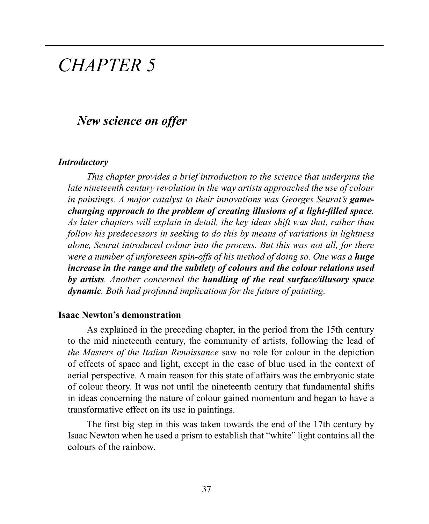# *CHAPTER 5*

## *New science on offer*

#### *Introductory*

*This chapter provides a brief introduction to the science that underpins the late nineteenth century revolution in the way artists approached the use of colour*  in paintings. A major catalyst to their innovations was Georges Seurat's **game***changing approach to the problem of creating illusions of a light-filled space. As later chapters will explain in detail, the key ideas shift was that, rather than follow his predecessors in seeking to do this by means of variations in lightness alone, Seurat introduced colour into the process. But this was not all, for there were a number of unforeseen spin-offs of his method of doing so. One was a huge increase in the range and the subtlety of colours and the colour relations used by artists. Another concerned the handling of the real surface/illusory space dynamic. Both had profound implications for the future of painting.* 

#### **Isaac Newton's demonstration**

As explained in the preceding chapter, in the period from the 15th century to the mid nineteenth century, the community of artists, following the lead of *the Masters of the Italian Renaissance* saw no role for colour in the depiction of effects of space and light, except in the case of blue used in the context of aerial perspective. A main reason for this state of affairs was the embryonic state of colour theory. It was not until the nineteenth century that fundamental shifts in ideas concerning the nature of colour gained momentum and began to have a transformative effect on its use in paintings.

The first big step in this was taken towards the end of the 17th century by Isaac Newton when he used a prism to establish that "white" light contains all the colours of the rainbow.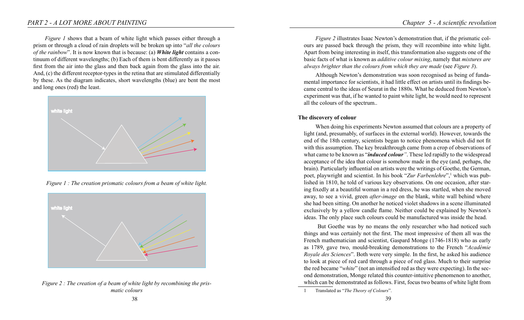*Figure 1* shows that a beam of white light which passes either through a prism or through a cloud of rain droplets will be broken up into "*all the colours of the rainbow*". It is now known that is because: (a) *White light* contains a continuum of different wavelengths; (b) Each of them is bent differently as it passes first from the air into the glass and then back again from the glass into the air. And, (c) the different receptor-types in the retina that are stimulated differentially by these. As the diagram indicates, short wavelengths (blue) are bent the most and long ones (red) the least.



*Figure 1 : The creation prismatic colours from a beam of white light.* 



*Figure 2 : The creation of a beam of white light by recombining the prismatic colours*

*Figure 2* illustrates Isaac Newton's demonstration that, if the prismatic colours are passed back through the prism, they will recombine into white light. Apart from being interesting in itself, this transformation also suggests one of the basic facts of what is known as *additive colour mixing*, namely that *mixtures are always brighter than the colours from which they are made* (see *Figure 3*).

Although Newton's demonstration was soon recognised as being of fundamental importance for scientists, it had little effect on artists until its findings became central to the ideas of Seurat in the 1880s. What he deduced from Newton's experiment was that, if he wanted to paint white light, he would need to represent all the colours of the spectrum..

#### **The discovery of colour**

When doing his experiments Newton assumed that colours are a property of light (and, presumably, of surfaces in the external world). However, towards the end of the 18th century, scientists began to notice phenomena which did not fit with this assumption. The key breakthrough came from a crop of observations of what came to be known as "*induced colour"*. These led rapidly to the widespread acceptance of the idea that colour is somehow made in the eye (and, perhaps, the brain). Particularly influential on artists were the writings of Goethe, the German, poet, playwright and scientist. In his book "Zur Farbenlehre",<sup>1</sup> which was published in 1810, he told of various key observations. On one occasion, after staring fixedly at a beautiful woman in a red dress, he was startled, when she moved away, to see a vivid, green *after-image* on the blank, white wall behind where she had been sitting. On another he noticed violet shadows in a scene illuminated exclusively by a yellow candle flame. Neither could be explained by Newton's ideas. The only place such colours could be manufactured was inside the head.

 But Goethe was by no means the only researcher who had noticed such things and was certainly not the first. The most impressive of them all was the French mathematician and scientist, Gaspard Monge (1746-1818) who as early as 1789, gave two, mould-breaking demonstrations to the French "*Académie Royale des Sciences*". Both were very simple. In the first, he asked his audience to look at piece of red card through a piece of red glass. Much to their surprise the red became "*white*" (not an intensified red as they were expecting). In the second demonstration, Monge related this counter-intuitive phenomenon to another, which can be demonstrated as follows. First, focus two beams of white light from

<sup>1</sup> Translated as "*The Theory of Colours*".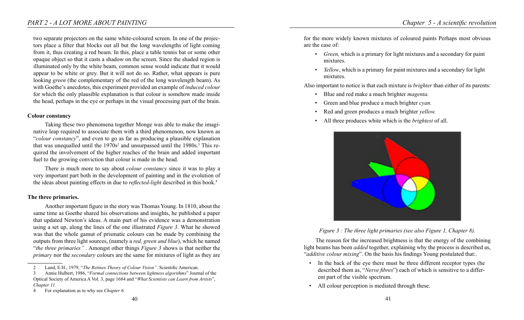two separate projectors on the same white-coloured screen. In one of the projectors place a filter that blocks out all but the long wavelengths of light coming from it, thus creating a red beam. In this, place a table tennis bat or some other opaque object so that it casts a shadow on the screen. Since the shaded region is illuminated only by the white beam, common sense would indicate that it would appear to be white or grey. But it will not do so. Rather, what appears is pure looking *green* (the complementary of the red of the long wavelength beam). As with Goethe's anecdotes, this experiment provided an example of *induced colour* for which the only plausible explanation is that colour is somehow made inside the head, perhaps in the eye or perhaps in the visual processing part of the brain.

#### **Colour constancy**

Taking these two phenomena together Monge was able to make the imaginative leap required to associate them with a third phenomenon, now known as "*colour constancy*", and even to go as far as producing a plausible explanation that was unequalled until the  $1970s<sup>2</sup>$  and unsurpassed until the  $1980s<sup>3</sup>$ . This required the involvement of the higher reaches of the brain and added important fuel to the growing conviction that colour is made in the head.

There is much more to say about *colour constancy* since it was to play a very important part both in the development of painting and in the evolution of the ideas about painting effects in due to *reflected-light* described in this book.4

## **The three primaries.**

Another important figure in the story was Thomas Young. In 1810, about the same time as Goethe shared his observations and insights, he published a paper that updated Newton's ideas. A main part of his evidence was a demonstration using a set up, along the lines of the one illustrated *Figure 3*. What he showed was that the whole gamut of prismatic colours can be made by combining the outputs from three light sources, (namely a *red, green and blue*), which he named "*the three primaries"* . Amongst other things *Figure 3* shows is that neither the *primary* nor the *secondary* colours are the same for mixtures of light as they are

for the more widely known mixtures of coloured paints Perhaps most obvious are the case of:

- *Green,* which is a primary for light mixtures and a secondary for paint mixtures.
- *Yellow*, which is a primary for paint mixtures and a secondary for light mixtures.

Also important to notice is that each mixture is *brighter* than either of its parents:

- Blue and red make a much brighter *magenta.*
- Green and blue produce a much brighter *cyan.*
- Red and green produces a much brighter *yellow.*
- All three produces white which is the *brightest* of all.



*Figure 3 : The three light primaries (see also Figure 1, Chapter 8).*

The reason for the increased brightness is that the energy of the combining light beams has been *added* together, explaining why the process is described as, "*additive colour mixing*". On the basis his findings Young postulated that:.

- In the back of the eye there must be three different receptor types (he described them as, "*Nerve fibres*") each of which is sensitive to a different part of the visible spectrum.
- All colour perception is mediated through these.

<sup>2</sup> Land, E.H., 1979, "*The Retinex Theory of Colour Vision"*. Scientific American.

<sup>3</sup> Annie Hulbert, 1986, "*Formal connections between lightness algorithms*" Journal of the Optical Society of America A Vol. 3, page 1684 and "*What Scientists can Learn from Artists*", *Chapter 11.*

<sup>4</sup> For explanation as to why see *Chapter 6.*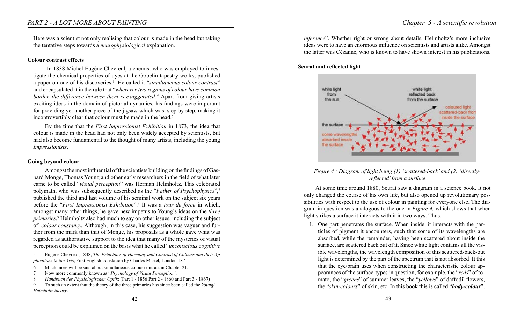Here was a scientist not only realising that colour is made in the head but taking the tentative steps towards a *neurophysiological* explanation.

#### **Colour contrast effects**

 In 1838 Michel Eugène Chevreul, a chemist who was employed to investigate the chemical properties of dyes at the Gobelin tapestry works, published a paper on one of his discoveries.<sup>5</sup>. He called it "*simultaneous colour contrast*" and encapsulated it in the rule that "*wherever two regions of colour have common border, the difference between them is exaggerated.*" Apart from giving artists exciting ideas in the domain of pictorial dynamics, his findings were important for providing yet another piece of the jigsaw which was, step by step, making it incontrovertibly clear that colour must be made in the head.<sup>6</sup>

By the time that the *First Impressionist Exhibition* in 1873, the idea that colour is made in the head had not only been widely accepted by scientists, but had also become fundamental to the thought of many artists, including the young *Impressionists*.

#### **Going beyond colour**

Amongst the most influential of the scientists building on the findings of Gaspard Monge, Thomas Young and other early researchers in the field of what later came to be called "*visual perception*" was Herman Helmholtz. This celebrated polymath, who was subsequently described as the "*Father of Psychophysics*",<sup>7</sup> published the third and last volume of his seminal work on the subject six years before the "*First Impressionist Exhibition*".8 It was a *tour de force* in which, amongst many other things, he gave new impetus to Young's ideas on the *three primaries.*<sup>9</sup> Helmholtz also had much to say on other issues, including the subject of *colour constancy.* Although, in this case, his suggestion was vaguer and further from the mark than that of Monge, his proposals as a whole gave what was regarded as authoritative support to the idea that many of the mysteries of visual perception could be explained on the basis what he called "*unconscious cognitive*  *inference*". Whether right or wrong about details, Helmholtz's more inclusive ideas were to have an enormous influence on scientists and artists alike. Amongst the latter was Cézanne, who is known to have shown interest in his publications.

#### **Seurat and reflected light**



## *Figure 4 : Diagram of light being (1) 'scattered-back' and (2) 'directlyreflected' from a surface*

At some time around 1880, Seurat saw a diagram in a science book. It not only changed the course of his own life, but also opened up revolutionary possibilities with respect to the use of colour in painting for everyone else. The diagram in question was analogous to the one in *Figure 4,* which shows that when light strikes a surface it interacts with it in two ways. Thus:

1. One part penetrates the surface. When inside, it interacts with the particles of pigment it encounters, such that some of its wavelengths are absorbed, while the remainder, having been scattered about inside the surface, are scattered back out of it. Since white light contains all the visible wavelengths, the wavelength composition of this scattered-back-out light is determined by the part of the spectrum that is not absorbed. It this that the eye/brain uses when constructing the characteristic colour appearances of the surface-types in question, for example, the "*reds*" of tomato, the "*greens*" of summer leaves, the "*yellows*" of daffodil flowers, the "*skin-colours*" of skin, etc. In this book this is called "*body-colour*".

<sup>5</sup> Eugène Chevreul, 1838, *The Principles of Harmony and Contrast of Colours and their Applications in the Art*s, First English translation by Charles Martel, London 187

<sup>6</sup> Much more will be said about simultaneous colour contrast in Chapter 21.

<sup>7</sup> Now more commonly known as "*Psychology of Visual Perception*".

<sup>8</sup> *Handbuch der Physiologischen Optik*: (Part 1 - 1856 Part 2 - 1860 and Part 3 - 1867)

<sup>9</sup> To such an extent that the theory of the three primaries has since been called the *Young/ Helmholtz theory*.